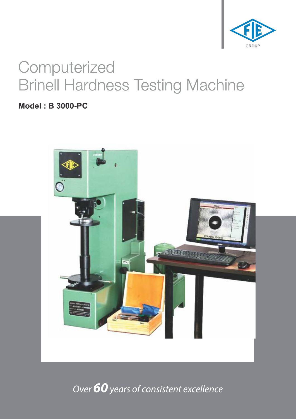

# Computerized **Brinell Hardness Testing Machine**

**Model: B 3000-PC** 



Over 60 years of consistent excellence